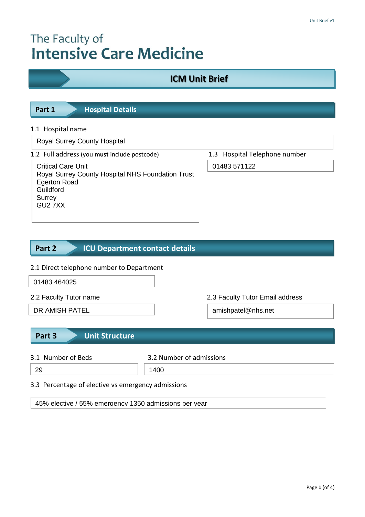# The Faculty of **Intensive Care Medicine**

# **ICM Unit Brief**

| Part 1 | <b>Hospital Details</b> |  |
|--------|-------------------------|--|

# 1.1 Hospital name

Royal Surrey County Hospital

|  |  |  | 1.2 Full address (you must include postcode) |  |
|--|--|--|----------------------------------------------|--|
|--|--|--|----------------------------------------------|--|

| <b>Critical Care Unit</b>                         |
|---------------------------------------------------|
| Royal Surrey County Hospital NHS Foundation Trust |
| Egerton Road                                      |
| Guildford                                         |
| Surrey                                            |
| GU27XX                                            |
|                                                   |

1.3 Hospital Telephone number

01483 571122

#### **ICU Department contact details Part 2**

# 2.1 Direct telephone number to Department

01483 464025

- 
- 

2.2 Faculty Tutor name 2.3 Faculty Tutor Email address

DR AMISH PATEL **amishpatel@nhs.net** 

# **Part 3 Unit Structure**

- 
- 3.1 Number of Beds 3.2 Number of admissions

- 29 1400
- 3.3 Percentage of elective vs emergency admissions

45% elective / 55% emergency 1350 admissions per year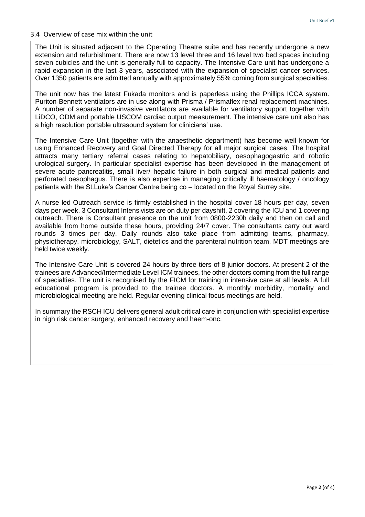### 3.4 Overview of case mix within the unit

rapid expansion in the last 3 years, associated with the expansion of specialist cancer services. The Unit is situated adjacent to the Operating Theatre suite and has recently undergone a new extension and refurbishment. There are now 13 level three and 16 level two bed spaces including seven cubicles and the unit is generally full to capacity. The Intensive Care unit has undergone a Over 1350 patients are admitted annually with approximately 55% coming from surgical specialties.

The unit now has the latest Fukada monitors and is paperless using the Phillips ICCA system. Puriton-Bennett ventilators are in use along with Prisma / Prismaflex renal replacement machines. A number of separate non-invasive ventilators are available for ventilatory support together with LiDCO, ODM and portable USCOM cardiac output measurement. The intensive care unit also has a high resolution portable ultrasound system for clinicians' use.

The Intensive Care Unit (together with the anaesthetic department) has become well known for using Enhanced Recovery and Goal Directed Therapy for all major surgical cases. The hospital attracts many tertiary referral cases relating to hepatobiliary, oesophagogastric and robotic urological surgery. In particular specialist expertise has been developed in the management of severe acute pancreatitis, small liver/ hepatic failure in both surgical and medical patients and perforated oesophagus. There is also expertise in managing critically ill haematology / oncology patients with the St.Luke's Cancer Centre being co – located on the Royal Surrey site.

A nurse led Outreach service is firmly established in the hospital cover 18 hours per day, seven days per week. 3 Consultant Intensivists are on duty per dayshift, 2 covering the ICU and 1 covering outreach. There is Consultant presence on the unit from 0800-2230h daily and then on call and available from home outside these hours, providing 24/7 cover. The consultants carry out ward rounds 3 times per day. Daily rounds also take place from admitting teams, pharmacy, physiotherapy, microbiology, SALT, dietetics and the parenteral nutrition team. MDT meetings are held twice weekly.

The Intensive Care Unit is covered 24 hours by three tiers of 8 junior doctors. At present 2 of the trainees are Advanced/Intermediate Level ICM trainees, the other doctors coming from the full range of specialties. The unit is recognised by the FICM for training in intensive care at all levels. A full educational program is provided to the trainee doctors. A monthly morbidity, mortality and microbiological meeting are held. Regular evening clinical focus meetings are held.

In summary the RSCH ICU delivers general adult critical care in conjunction with specialist expertise in high risk cancer surgery, enhanced recovery and haem-onc.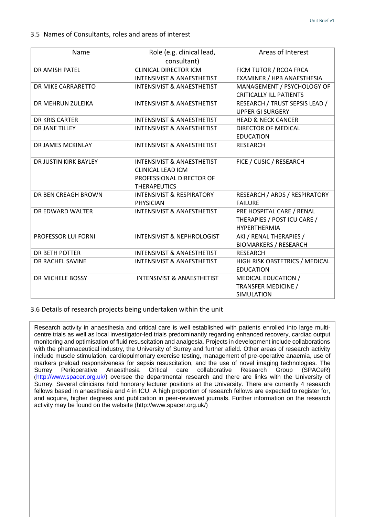| Name                  | Role (e.g. clinical lead,<br>consultant)                                                                             | Areas of Interest                                                               |
|-----------------------|----------------------------------------------------------------------------------------------------------------------|---------------------------------------------------------------------------------|
| DR AMISH PATEL        | <b>CLINICAL DIRECTOR ICM</b>                                                                                         | FICM TUTOR / RCOA FRCA                                                          |
|                       | <b>INTENSIVIST &amp; ANAESTHETIST</b>                                                                                | EXAMINER / HPB ANAESTHESIA                                                      |
| DR MIKE CARRARETTO    | <b>INTENSIVIST &amp; ANAESTHETIST</b>                                                                                | MANAGEMENT / PSYCHOLOGY OF                                                      |
|                       |                                                                                                                      | <b>CRITICALLY ILL PATIENTS</b>                                                  |
| DR MEHRUN ZULEIKA     | <b>INTENSIVIST &amp; ANAESTHETIST</b>                                                                                | RESEARCH / TRUST SEPSIS LEAD /                                                  |
|                       |                                                                                                                      | <b>UPPER GI SURGERY</b>                                                         |
| DR KRIS CARTER        | <b>INTENSIVIST &amp; ANAESTHETIST</b>                                                                                | <b>HEAD &amp; NECK CANCER</b>                                                   |
| DR JANE TILLEY        | <b>INTENSIVIST &amp; ANAESTHETIST</b>                                                                                | DIRECTOR OF MEDICAL                                                             |
|                       |                                                                                                                      | <b>EDUCATION</b>                                                                |
| DR JAMES MCKINLAY     | <b>INTENSIVIST &amp; ANAESTHETIST</b>                                                                                | <b>RESEARCH</b>                                                                 |
| DR JUSTIN KIRK BAYLEY | <b>INTENSIVIST &amp; ANAESTHETIST</b><br><b>CLINICAL LEAD ICM</b><br>PROFESSIONAL DIRECTOR OF<br><b>THERAPEUTICS</b> | FICE / CUSIC / RESEARCH                                                         |
| DR BEN CREAGH BROWN   | <b>INTENSIVIST &amp; RESPIRATORY</b><br><b>PHYSICIAN</b>                                                             | RESEARCH / ARDS / RESPIRATORY<br><b>FAILURE</b>                                 |
| DR EDWARD WALTER      | <b>INTENSIVIST &amp; ANAESTHETIST</b>                                                                                | PRE HOSPITAL CARE / RENAL<br>THERAPIES / POST ICU CARE /<br><b>HYPERTHERMIA</b> |
| PROFESSOR LUI FORNI   | <b>INTENSIVIST &amp; NEPHROLOGIST</b>                                                                                | AKI / RENAL THERAPIES /<br><b>BIOMARKERS / RESEARCH</b>                         |
| DR BETH POTTER        | <b>INTENSIVIST &amp; ANAESTHETIST</b>                                                                                | <b>RESEARCH</b>                                                                 |
| DR RACHEL SAVINE      | <b>INTENSIVIST &amp; ANAESTHETIST</b>                                                                                | HIGH RISK OBSTETRICS / MEDICAL                                                  |
|                       |                                                                                                                      | <b>EDUCATION</b>                                                                |
| DR MICHELE BOSSY      | <b>INTENSIVIST &amp; ANAESTHETIST</b>                                                                                | MEDICAL EDUCATION /                                                             |
|                       |                                                                                                                      | <b>TRANSFER MEDICINE /</b>                                                      |
|                       |                                                                                                                      | SIMULATION                                                                      |

3.6 Details of research projects being undertaken within the unit

Research activity in anaesthesia and critical care is well established with patients enrolled into large multicentre trials as well as local investigator-led trials predominantly regarding enhanced recovery, cardiac output monitoring and optimisation of fluid resuscitation and analgesia. Projects in development include collaborations with the pharmaceutical industry, the University of Surrey and further afield. Other areas of research activity include muscle stimulation, cardiopulmonary exercise testing, management of pre-operative anaemia, use of markers preload responsiveness for sepsis resuscitation, and the use of novel imaging technologies. The Surrey Perioperative Anaesthesia Critical care collaborative Research Group (SPACeR) ([http://www.spacer.org.uk/\)](http://www.spacer.org.uk/) oversee the departmental research and there are links with the University of Surrey. Several clinicians hold honorary lecturer positions at the University. There are currently 4 research fellows based in anaesthesia and 4 in ICU. A high proportion of research fellows are expected to register for, and acquire, higher degrees and publication in peer-reviewed journals. Further information on the research activity may be found on the website (http://www.spacer.org.uk/)